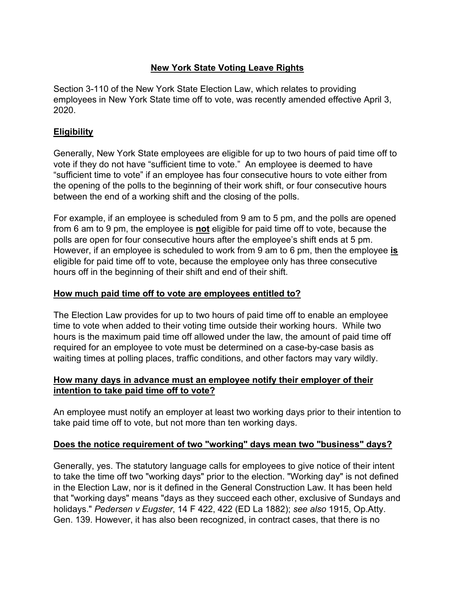# **New York State Voting Leave Rights**

Section 3-110 of the New York State Election Law, which relates to providing employees in New York State time off to vote, was recently amended effective April 3, 2020.

## **Eligibility**

Generally, New York State employees are eligible for up to two hours of paid time off to vote if they do not have "sufficient time to vote." An employee is deemed to have "sufficient time to vote" if an employee has four consecutive hours to vote either from the opening of the polls to the beginning of their work shift, or four consecutive hours between the end of a working shift and the closing of the polls.

For example, if an employee is scheduled from 9 am to 5 pm, and the polls are opened from 6 am to 9 pm, the employee is **not** eligible for paid time off to vote, because the polls are open for four consecutive hours after the employee's shift ends at 5 pm. However, if an employee is scheduled to work from 9 am to 6 pm, then the employee **is** eligible for paid time off to vote, because the employee only has three consecutive hours off in the beginning of their shift and end of their shift.

### **How much paid time off to vote are employees entitled to?**

The Election Law provides for up to two hours of paid time off to enable an employee time to vote when added to their voting time outside their working hours. While two hours is the maximum paid time off allowed under the law, the amount of paid time off required for an employee to vote must be determined on a case-by-case basis as waiting times at polling places, traffic conditions, and other factors may vary wildly.

#### **How many days in advance must an employee notify their employer of their intention to take paid time off to vote?**

An employee must notify an employer at least two working days prior to their intention to take paid time off to vote, but not more than ten working days.

#### **Does the notice requirement of two "working" days mean two "business" days?**

Generally, yes. The statutory language calls for employees to give notice of their intent to take the time off two "working days" prior to the election. "Working day" is not defined in the Election Law, nor is it defined in the General Construction Law. It has been held that "working days" means "days as they succeed each other, exclusive of Sundays and holidays." *Pedersen v Eugster*, 14 F 422, 422 (ED La 1882); *see also* 1915, Op.Atty. Gen. 139. However, it has also been recognized, in contract cases, that there is no